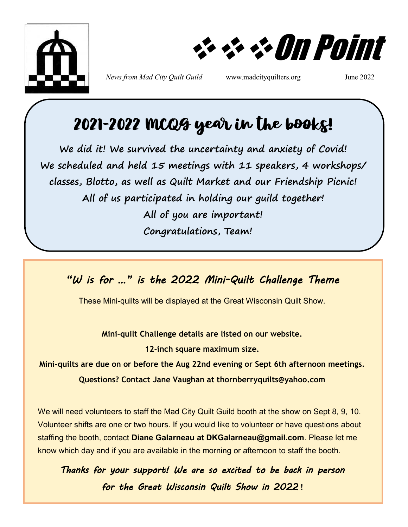

❖❖❖On Point

*News from Mad City Quilt Guild* www.madcityquilters.org June 2022

# 2021-2022 MCQG year in the books!

**We did it! We survived the uncertainty and anxiety of Covid! We scheduled and held 15 meetings with 11 speakers, 4 workshops/ classes, Blotto, as well as Quilt Market and our Friendship Picnic! All of us participated in holding our guild together! All of you are important! Congratulations, Team!** 

*"W is for …" is the 2022 Mini-Quilt Challenge Theme* 

These Mini-quilts will be displayed at the Great Wisconsin Quilt Show.

**Mini-quilt Challenge details are listed on our website.**

**12-inch square maximum size.**

**Mini-quilts are due on or before the Aug 22nd evening or Sept 6th afternoon meetings. Questions? Contact Jane Vaughan at thornberryquilts@yahoo.com**

We will need volunteers to staff the Mad City Quilt Guild booth at the show on Sept 8, 9, 10. Volunteer shifts are one or two hours. If you would like to volunteer or have questions about staffing the booth, contact **Diane Galarneau at DKGalarneau@gmail.com**. Please let me know which day and if you are available in the morning or afternoon to staff the booth.

*Thanks for your support! We are so excited to be back in person for the Great Wisconsin Quilt Show in 2022* **!**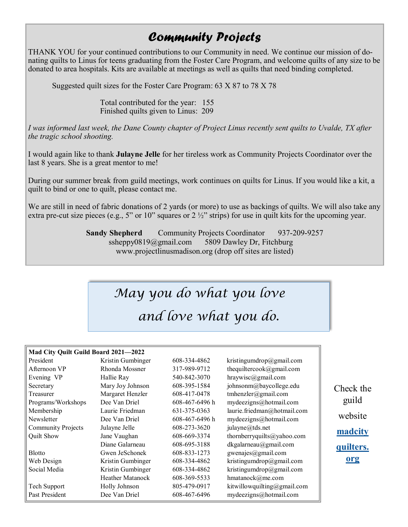### *Community Projects*

THANK YOU for your continued contributions to our Community in need. We continue our mission of donating quilts to Linus for teens graduating from the Foster Care Program, and welcome quilts of any size to be donated to area hospitals. Kits are available at meetings as well as quilts that need binding completed.

Suggested quilt sizes for the Foster Care Program: 63 X 87 to 78 X 78

Total contributed for the year: 155 Finished quilts given to Linus: 209

*I was informed last week, the Dane County chapter of Project Linus recently sent quilts to Uvalde, TX after the tragic school shooting.*

I would again like to thank **Julayne Jelle** for her tireless work as Community Projects Coordinator over the last 8 years. She is a great mentor to me!

During our summer break from guild meetings, work continues on quilts for Linus. If you would like a kit, a quilt to bind or one to quilt, please contact me.

We are still in need of fabric donations of 2 yards (or more) to use as backings of quilts. We will also take any extra pre-cut size pieces (e.g., 5" or 10" squares or  $2\frac{1}{2}$ " strips) for use in quilt kits for the upcoming year.

> **Sandy Shepherd** Community Projects Coordinator 937-209-9257 ssheppy0819@gmail.com 5809 Dawley Dr, Fitchburg www.projectlinusmadison.org (drop off sites are listed)

# *May you do what you love and love what you do.*

### **Mad City Quilt Guild Board 2021—2022**

| President                 | Kristin Gumbinger       | 608-334-4862   | kristingumdrop@gmail.com    |
|---------------------------|-------------------------|----------------|-----------------------------|
| Afternoon VP              | Rhonda Mossner          | 317-989-9712   | thequiltercook@gmail.com    |
| Evening VP                | Hallie Ray              | 540-842-3070   | $hraywise$ @gmail.com       |
| Secretary                 | Mary Joy Johnson        | 608-395-1584   | johnsonm@baycollege.edu     |
| Treasurer                 | Margaret Henzler        | 608-417-0478   | tmhenzler@gmail.com         |
| Programs/Workshops        | Dee Van Driel           | 608-467-6496 h | mydeezigns@hotmail.com      |
| Membership                | Laurie Friedman         | 631-375-0363   | laurie.friedman@hotmail.com |
| Newsletter                | Dee Van Driel           | 608-467-6496 h | mydeezigns@hotmail.com      |
| <b>Community Projects</b> | Julayne Jelle           | 608-273-3620   | julayne@tds.net             |
| Quilt Show                | Jane Vaughan            | 608-669-3374   | thornberryquilts@yahoo.com  |
|                           | Diane Galarneau         | 608-695-3188   | dkgalarneau@gmail.com       |
| <b>Blotto</b>             | Gwen JeSchonek          | 608-833-1273   | gwenajes@gmail.com          |
| Web Design                | Kristin Gumbinger       | 608-334-4862   | kristingumdrop@gmail.com    |
| Social Media              | Kristin Gumbinger       | 608-334-4862   | kristingumdrop@gmail.com    |
|                           | <b>Heather Matanock</b> | 608-369-5533   | hmatanock@me.com            |
| Tech Support              | Holly Johnson           | 805-479-0917   | kitwillowquilting@gmail.com |
| Past President            | Dee Van Driel           | 608-467-6496   | mydeezigns@hotmail.com      |

Check the guild website **[madcity](#page-2-0) [quilters.](#page-2-0) [org](#page-2-0)**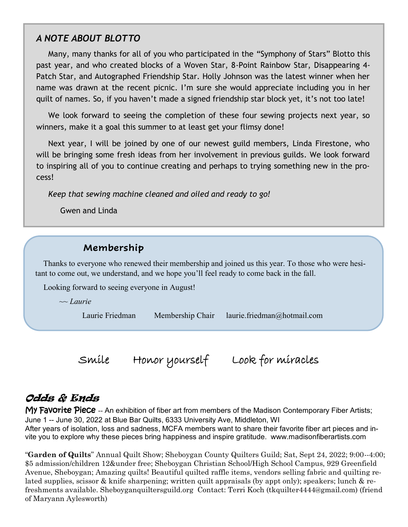### <span id="page-2-0"></span>*A NOTE ABOUT BLOTTO*

 Many, many thanks for all of you who participated in the "Symphony of Stars" Blotto this past year, and who created blocks of a Woven Star, 8-Point Rainbow Star, Disappearing 4- Patch Star, and Autographed Friendship Star. Holly Johnson was the latest winner when her name was drawn at the recent picnic. I'm sure she would appreciate including you in her quilt of names. So, if you haven't made a signed friendship star block yet, it's not too late!

 We look forward to seeing the completion of these four sewing projects next year, so winners, make it a goal this summer to at least get your flimsy done!

 Next year, I will be joined by one of our newest guild members, Linda Firestone, who will be bringing some fresh ideas from her involvement in previous guilds. We look forward to inspiring all of you to continue creating and perhaps to trying something new in the process!

*Keep that sewing machine cleaned and oiled and ready to go!*

Gwen and Linda

### **Membership**

 Thanks to everyone who renewed their membership and joined us this year. To those who were hesitant to come out, we understand, and we hope you'll feel ready to come back in the fall.

Looking forward to seeing everyone in August!

~~ *Laurie*

Laurie Friedman Membership Chair laurie.friedman@hotmail.com

Smile Honor yourself Look for miracles

### Odds & Ends

My Favorite Piece -- An exhibition of fiber art from members of the Madison Contemporary Fiber Artists; June 1 -- June 30, 2022 at Blue Bar Quilts, 6333 University Ave, Middleton, WI After years of isolation, loss and sadness, MCFA members want to share their favorite fiber art pieces and invite you to explore why these pieces bring happiness and inspire gratitude. www.madisonfiberartists.com

"**Garden of Quilts**" Annual Quilt Show; Sheboygan County Quilters Guild; Sat, Sept 24, 2022; 9:00--4:00; \$5 admission/children 12&under free; Sheboygan Christian School/High School Campus, 929 Greenfield Avenue, Sheboygan; Amazing quilts! Beautiful quilted raffle items, vendors selling fabric and quilting related supplies, scissor & knife sharpening; written quilt appraisals (by appt only); speakers; lunch & refreshments available. Sheboyganquiltersguild.org Contact: Terri Koch (tkquilter4444@gmail.com) (friend of Maryann Aylesworth)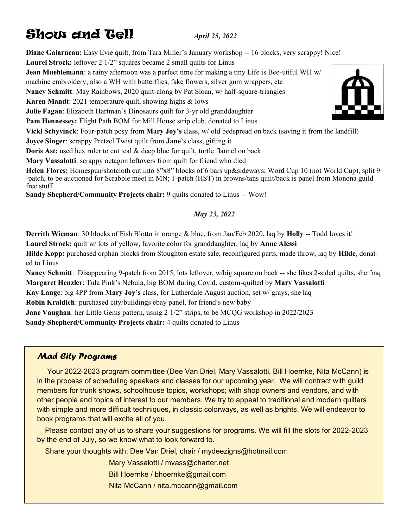## **Show and Gell** *April 25, 2022*

**Diane Galarneau:** Easy Evie quilt, from Tara Miller's January workshop -- 16 blocks, very scrappy! Nice!

**Laurel Strock:** leftover 2 1/2" squares became 2 small quilts for Linus

**Jean Muehlemann**: a rainy afternoon was a perfect time for making a tiny Life is Bee-utiful WH w/

machine embroidery; also a WH with butterflies, fake flowers, silver gum wrappers, etc

**Nancy Schmitt**: May Rainbows, 2020 quilt-along by Pat Sloan, w/ half-square-triangles

**Karen Mandt**: 2021 temperature quilt, showing highs & lows

**Julie Fagan**: Elizabeth Hartman's Dinosaurs quilt for 3-yr old granddaughter

**Pam Hennessey:** Flight Path BOM for Mill House strip club, donated to Linus

**Vicki Schyvinck**: Four-patch posy from **Mary Joy's** class, w/ old bedspread on back (saving it from the landfill)

**Joyce Singer**: scrappy Pretzel Twist quilt from **Jane**'s class, gifting it

**Doris Ast:** used hex ruler to cut teal & deep blue for quilt, turtle flannel on back

**Mary Vassalotti**: scrappy octagon leftovers from quilt for friend who died

**Helen Flores:** Homespun/shotcloth cut into 8"x8" blocks of 6 bars up&sideways; Word Cup 10 (not World Cup), split 9 -patch, to be auctioned for Scrabble meet in MN; 1-patch (HST) in browns/tans quilt/back is panel from Monona guild free stuff

**Sandy Shepherd/Community Projects chair:** 9 quilts donated to Linus -- Wow!

### *May 23, 2022*

**Derrith Wieman**: 30 blocks of Fish Blotto in orange & blue, from Jan/Feb 2020, laq by **Holly** -- Todd loves it!

**Laurel Strock:** quilt w/ lots of yellow, favorite color for granddaughter, laq by **Anne Alessi**

**Hilde Kopp:** purchased orphan blocks from Stoughton estate sale, reconfigured parts, made throw, laq by **Hilde**, donated to Linus

**Nancy Schmitt**: Disappearing 9-patch from 2015, lots leftover, w/big square on back -- she likes 2-sided quilts, she fmq **Margaret Henzler**: Tula Pink's Nebula, big BOM during Covid, custom-quilted by **Mary Vassalotti**

**Kay Lange**: big 4PP from **Mary Joy's** class, for Lutherdale August auction, set w/ grays, she laq

**Robin Kraidich**: purchased city/buildings ebay panel, for friend's new baby

**Jane Vaughan**: her Little Gems pattern, using 2 1/2" strips, to be MCQG workshop in 2022/2023

**Sandy Shepherd/Community Projects chair:** 4 quilts donated to Linus

### *Mad City Programs*

 Your 2022-2023 program committee (Dee Van Driel, Mary Vassalotti, Bill Hoernke, Nita McCann) is in the process of scheduling speakers and classes for our upcoming year. We will contract with guild members for trunk shows, schoolhouse topics, workshops; with shop owners and vendors, and with other people and topics of interest to our members. We try to appeal to traditional and modern quilters with simple and more difficult techniques, in classic colorways, as well as brights. We will endeavor to book programs that will excite all of you.

 Please contact any of us to share your suggestions for programs. We will fill the slots for 2022-2023 by the end of July, so we know what to look forward to.

Share your thoughts with: Dee Van Driel, chair / mydeezigns@hotmail.com

Mary Vassalotti / mvass@charter.net

Bill Hoernke / bhoernke@gmail.com

Nita McCann / nita.mccann@gmail.com